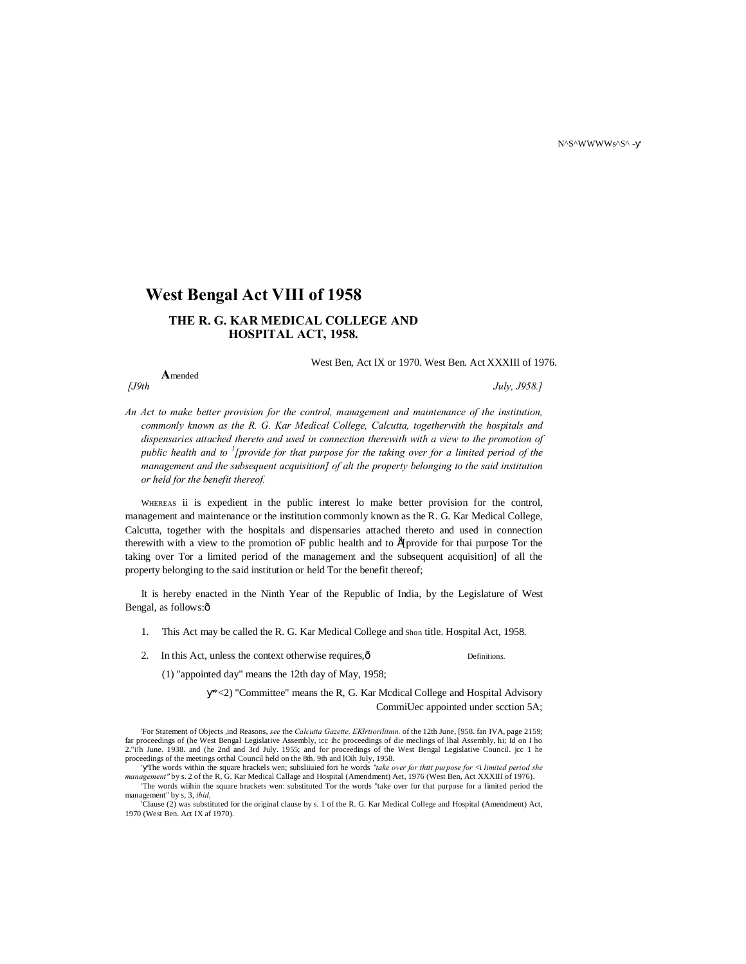N^S^WWWWs^S^ -

# **West Bengal Act VIII of 1958**

# **THE R. G. KAR MEDICAL COLLEGE AND HOSPITAL ACT, 1958.**

West Ben, Act IX or 1970. West Ben. Act XXXIII of 1976.

**A**mended

*[J9th July, J958.]*

*An Act to make better provision for the control, management and maintenance of the institution, commonly known as the R. G. Kar Medical College, Calcutta, togetherwith the hospitals and dispensaries attached thereto and used in connection therewith with a view to the promotion of public health and to <sup>1</sup> [provide for that purpose for the taking over for a limited period of the management and the subsequent acquisition] of alt the property belonging to the said institution or held for the benefit thereof.*

WHEREAS ii is expedient in the public interest lo make better provision for the control, management and maintenance or the institution commonly known as the R. G. Kar Medical College, Calcutta, together with the hospitals and dispensaries attached thereto and used in connection therewith with a view to the promotion oF public health and to É[provide for thai purpose Tor the taking over Tor a limited period of the management and the subsequent acquisition] of all the property belonging to the said institution or held Tor the benefit thereof;

It is hereby enacted in the Ninth Year of the Republic of India, by the Legislature of West Bengal, as follows: $\hat{o}$ 

- 1. This Act may be called the R. G. Kar Medical College and Shon title. Hospital Act, 1958.
- 2. In this Act, unless the context otherwise requires,  $\hat{0}$  Definitions.

(1) "appointed day" means the 12th day of May, 1958;

\*<2) "Committee" means the R, G. Kar Mcdical College and Hospital Advisory CommiUec appointed under scction 5A;

<sup>&#</sup>x27;For Statement of Objects ,ind Reasons, *see* the *Calcutta Gazette. EKlrtiorilitmn.* of the 12th June, [958. fan IVA, page 2159; far proceedings of (he West Bengal Legislative Assembly, icc ihc proceedings of die meclings of Ihal Assembly, hi; Id on I ho<br>2."i!h June. 1938. and (he 2nd and 3rd July. 1955; and for proceedings of the West Bengal Legisl proceedings of the meetings orthal Council held on the 8th. 9th and lOih July, 1958.

<sup>&#</sup>x27; The words within the square hrackels wen; subsliiuied fori he words *"take over for thttt purpose for* <i *limited period she management"* by s. 2 of the R, G. Kar Medical Callage and Hospital (Amendment) Aet, 1976 (West Ben, Act XXXIII of 1976). 'The words wiihin the square brackets wen: substituted Tor the words "take over for that purpose for a limited period the

management" by s, 3, *ibid,* 'Clause (2) was substituted for the original clause by s. 1 of the R. G. Kar Medical College and Hospital (Amendment) Act, 1970 (West Ben. Act IX af 1970).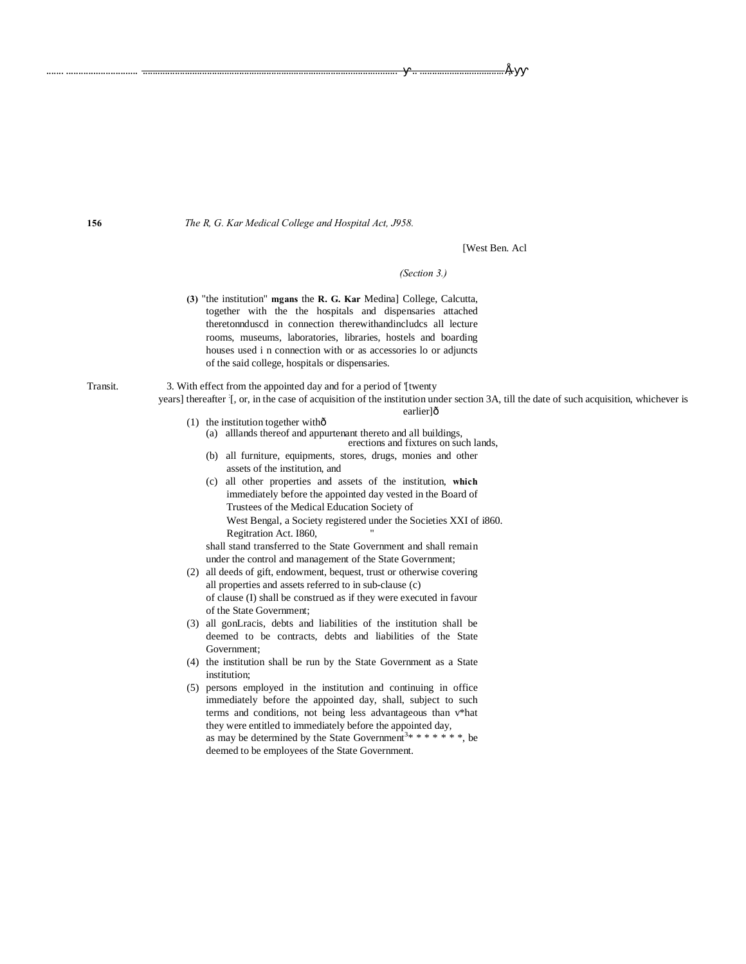The R, G. Kar Medical College and Hospital Act, J958.

[West Ben. Acl

É-

(Section 3.)

(3) "the institution" mgans the R. G. Kar Medinal College, Calcutta, together with the the hospitals and dispensaries attached theretonnduscd in connection therewithandincludes all lecture rooms, museums, laboratories, libraries, hostels and boarding houses used i n connection with or as accessories lo or adjuncts of the said college, hospitals or dispensaries.

3. With effect from the appointed day and for a period of [twenty

years] thereafter [, or, in the case of acquisition of the institution under section 3A, till the date of such acquisition, whichever is earlier]ô

- (1) the institution together withô (a) alllands thereof and appurtenant thereto and all buildings,
	- erections and fixtures on such lands,
	- (b) all furniture, equipments, stores, drugs, monies and other assets of the institution, and
	- (c) all other properties and assets of the institution, which immediately before the appointed day vested in the Board of Trustees of the Medical Education Society of West Bengal, a Society registered under the Societies XXI of i860. Regitration Act. I860,

shall stand transferred to the State Government and shall remain under the control and management of the State Government;

- (2) all deeds of gift, endowment, bequest, trust or otherwise covering all properties and assets referred to in sub-clause (c) of clause (I) shall be construed as if they were executed in favour of the State Government;
- (3) all gonLracis, debts and liabilities of the institution shall be deemed to be contracts, debts and liabilities of the State Government:
- (4) the institution shall be run by the State Government as a State institution;
- (5) persons employed in the institution and continuing in office immediately before the appointed day, shall, subject to such terms and conditions, not being less advantageous than v\*hat they were entitled to immediately before the appointed day, as may be determined by the State Government<sup>3\*</sup> \* \* \* \* \* \* \* be deemed to be employees of the State Government.

156

Transit.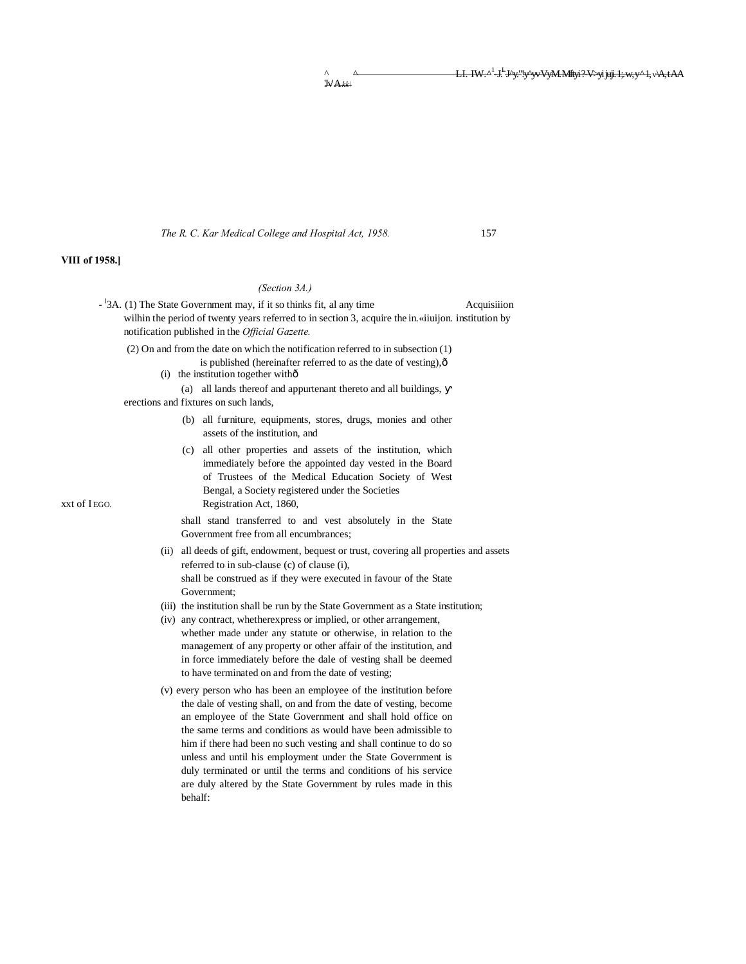^ ^ LI. IW.^1 -J.L J^y."!y^yv VyM. Mftyi ?-V>yijuji. 1;. w, y ^ 1,v\A, t AA 'Jv' A*kk\*

*The R. C. Kar Medical College and Hospital Act, 1958.* 157

### *(Section 3A.)*

- <sup>-1</sup>3A. (1) The State Government may, if it so thinks fit, al any time Acquisiiion wilhin the period of twenty years referred to in section 3, acquire the in.«iiuijon. institution by notification published in the *Official Gazette.* (2) On and from the date on which the notification referred to in subsection (1)
	- is published (hereinafter referred to as the date of vesting), $\hat{o}$
	- $(i)$  the institution together with $\hat{o}$ 
		- (a) all lands thereof and appurtenant thereto and all buildings,
	- erections and fixtures on such lands,
		- (b) all furniture, equipments, stores, drugs, monies and other assets of the institution, and
- (c) all other properties and assets of the institution, which immediately before the appointed day vested in the Board of Trustees of the Medical Education Society of West Bengal, a Society registered under the Societies xxt of IEGO. Registration Act, 1860,

shall stand transferred to and vest absolutely in the State Government free from all encumbrances;

- (ii) all deeds of gift, endowment, bequest or trust, covering all properties and assets referred to in sub-clause (c) of clause (i), shall be construed as if they were executed in favour of the State Government;
- (iii) the institution shall be run by the State Government as a State institution;
- (iv) any contract, whetherexpress or implied, or other arrangement, whether made under any statute or otherwise, in relation to the management of any property or other affair of the institution, and in force immediately before the dale of vesting shall be deemed to have terminated on and from the date of vesting;
- (v) every person who has been an employee of the institution before the dale of vesting shall, on and from the date of vesting, become an employee of the State Government and shall hold office on the same terms and conditions as would have been admissible to him if there had been no such vesting and shall continue to do so unless and until his employment under the State Government is duly terminated or until the terms and conditions of his service are duly altered by the State Government by rules made in this behalf:

**VIII of 1958.]**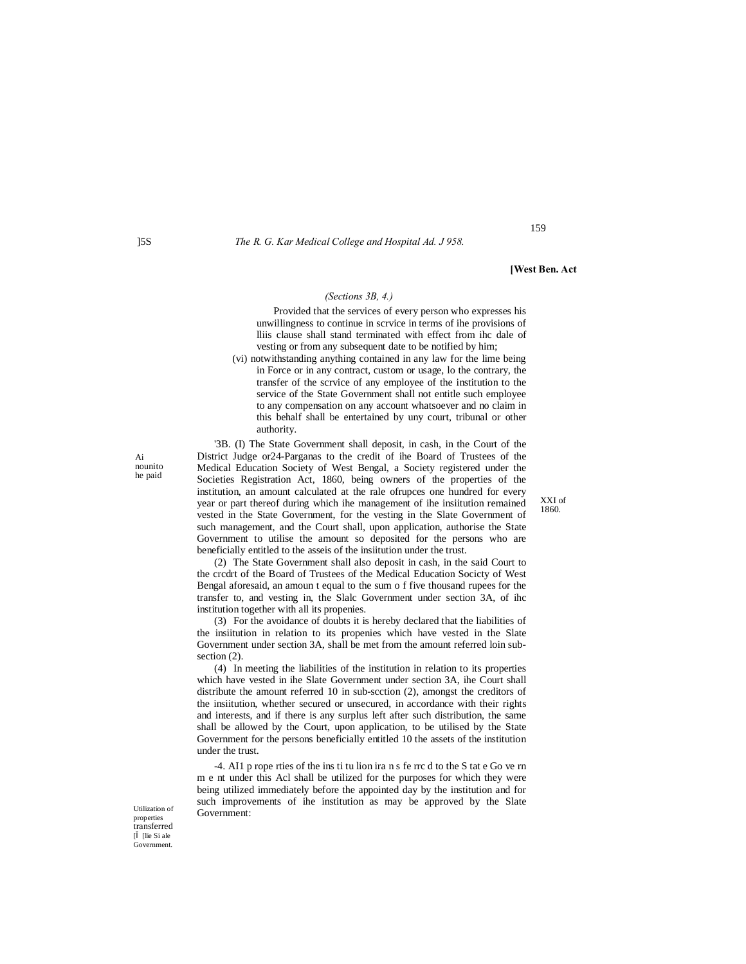]5S *The R. G. Kar Medical College and Hospital Ad. J 958.*

**[West Ben. Act**

159

## *(Sections 3B, 4.)*

Provided that the services of every person who expresses his unwillingness to continue in scrvice in terms of ihe provisions of lliis clause shall stand terminated with effect from ihc dale of vesting or from any subsequent date to be notified by him;

(vi) notwithstanding anything contained in any law for the lime being in Force or in any contract, custom or usage, lo the contrary, the transfer of the scrvice of any employee of the institution to the service of the State Government shall not entitle such employee to any compensation on any account whatsoever and no claim in this behalf shall be entertained by uny court, tribunal or other authority.

'3B. (I) The State Government shall deposit, in cash, in the Court of the District Judge or24-Parganas to the credit of ihe Board of Trustees of the Medical Education Society of West Bengal, a Society registered under the Societies Registration Act, 1860, being owners of the properties of the institution, an amount calculated at the rale ofrupces one hundred for every year or part thereof during which ihe management of ihe insiitution remained vested in the State Government, for the vesting in the Slate Government of such management, and the Court shall, upon application, authorise the State Government to utilise the amount so deposited for the persons who are beneficially entitled to the asseis of the insiitution under the trust.

(2) The State Government shall also deposit in cash, in the said Court to the crcdrt of the Board of Trustees of the Medical Education Socicty of West Bengal aforesaid, an amoun t equal to the sum o f five thousand rupees for the transfer to, and vesting in, the Slalc Government under section 3A, of ihc institution together with all its propenies.

(3) For the avoidance of doubts it is hereby declared that the liabilities of the insiitution in relation to its propenies which have vested in the Slate Government under section 3A, shall be met from the amount referred loin subsection  $(2)$ .

(4) In meeting the liabilities of the institution in relation to its properties which have vested in ihe Slate Government under section 3A, ihe Court shall distribute the amount referred 10 in sub-scction (2), amongst the creditors of the insiitution, whether secured or unsecured, in accordance with their rights and interests, and if there is any surplus left after such distribution, the same shall be allowed by the Court, upon application, to be utilised by the State Government for the persons beneficially entitled 10 the assets of the institution under the trust.

-4. AI1 p rope rties of the ins ti tu lion ira n s fe rrc d to the S tat e Go ve rn m e nt under this Acl shall be utilized for the purposes for which they were being utilized immediately before the appointed day by the institution and for such improvements of ihe institution as may be approved by the Slate Government:

XXI of 1860.

Utilization of properties transferred [ [ [lie Si ale Government.

Ai nounito he paid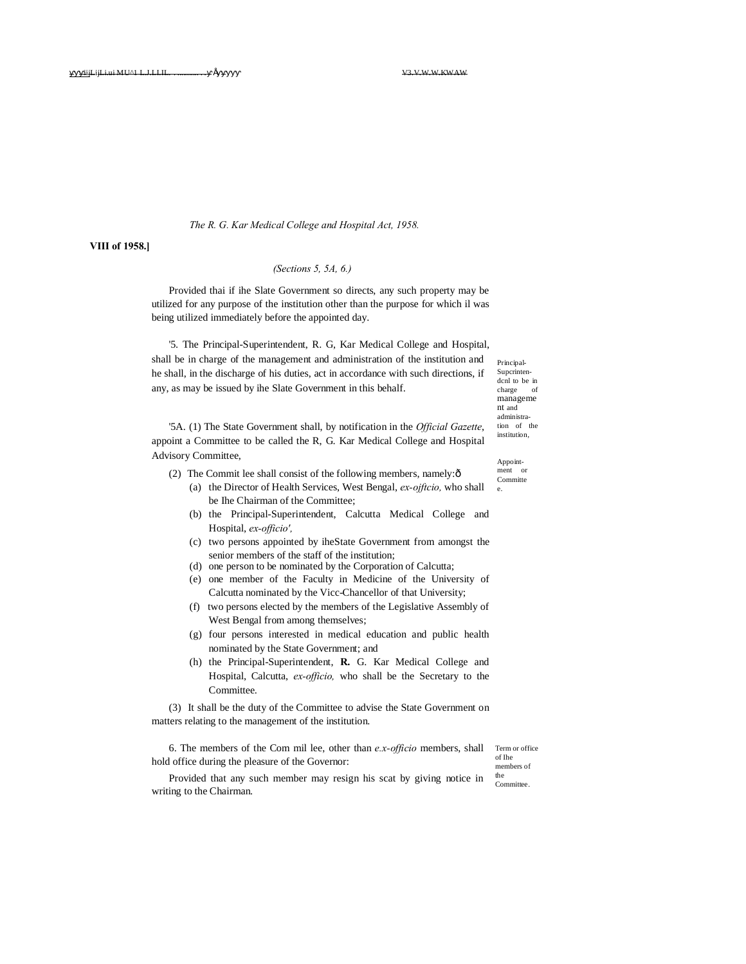#### *The R. G. Kar Medical College and Hospital Act, 1958.*

# **VIII of 1958.]**

# *(Sections 5, 5A, 6.)*

Provided thai if ihe Slate Government so directs, any such property may be utilized for any purpose of the institution other than the purpose for which il was being utilized immediately before the appointed day.

'5. The Principal-Superintendent, R. G, Kar Medical College and Hospital, shall be in charge of the management and administration of the institution and he shall, in the discharge of his duties, act in accordance with such directions, if any, as may be issued by ihe Slate Government in this behalf.

'5A. (1) The State Government shall, by notification in the *Official Gazette*, appoint a Committee to be called the R, G. Kar Medical College and Hospital Advisory Committee,

- (2) The Commit lee shall consist of the following members, namely: $\delta$ 
	- (a) the Director of Health Services, West Bengal, *ex-ojftcio,* who shall be Ihe Chairman of the Committee;
	- (b) the Principal-Superintendent, Calcutta Medical College and Hospital, *ex-officio',*
	- (c) two persons appointed by iheState Government from amongst the senior members of the staff of the institution;
	- (d) one person to be nominated by the Corporation of Calcutta;
	- (e) one member of the Faculty in Medicine of the University of Calcutta nominated by the Vicc-Chancellor of that University;
	- (f) two persons elected by the members of the Legislative Assembly of West Bengal from among themselves;
	- (g) four persons interested in medical education and public health nominated by the State Government; and
	- (h) the Principal-Superintendent, **R.** G. Kar Medical College and Hospital, Calcutta, *ex-officio,* who shall be the Secretary to the Committee.

(3) It shall be the duty of the Committee to advise the State Government on matters relating to the management of the institution.

6. The members of the Com mil lee, other than *e.x-officio* members, shall hold office during the pleasure of the Governor:

Term or office of Ihe members of the

**Committee** Provided that any such member may resign his scat by giving notice in writing to the Chairman.

Principal-Supcrintendcnl to be in charge of manageme nt and administration of the institution.

Appointment or Committe e.